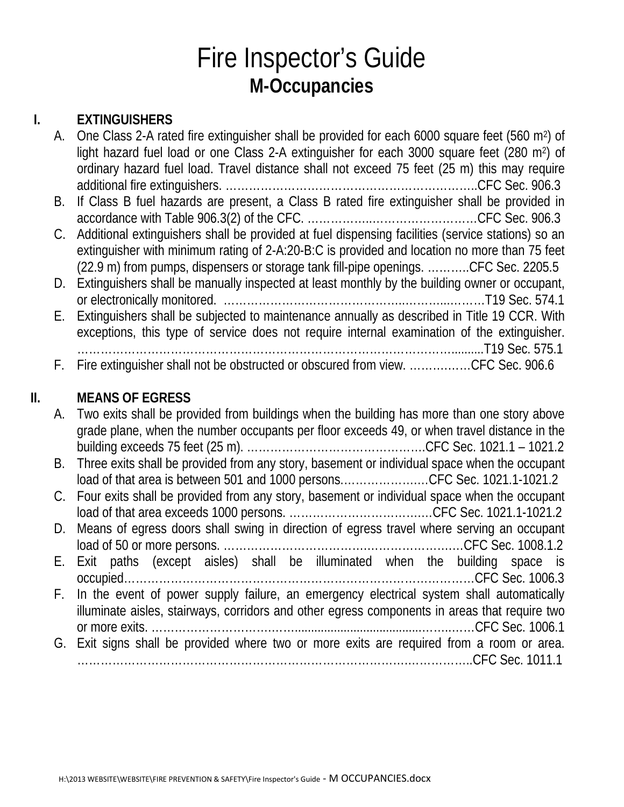# Fire Inspector's Guide **M-Occupancies**

### **I. EXTINGUISHERS**

| A. | One Class 2-A rated fire extinguisher shall be provided for each 6000 square feet (560 m <sup>2</sup> ) of |
|----|------------------------------------------------------------------------------------------------------------|
|    | light hazard fuel load or one Class 2-A extinguisher for each 3000 square feet (280 m <sup>2</sup> ) of    |
|    | ordinary hazard fuel load. Travel distance shall not exceed 75 feet (25 m) this may require                |
|    |                                                                                                            |
| B. | If Class B fuel hazards are present, a Class B rated fire extinguisher shall be provided in                |
|    |                                                                                                            |
|    | C. Additional extinguishers shall be provided at fuel dispensing facilities (service stations) so an       |
|    | extinguisher with minimum rating of 2-A:20-B:C is provided and location no more than 75 feet               |
|    | (22.9 m) from pumps, dispensers or storage tank fill-pipe openings. CFC Sec. 2205.5                        |
|    | D. Extinguishers shall be manually inspected at least monthly by the building owner or occupant,           |
|    |                                                                                                            |
|    | E. Extinguishers shall be subjected to maintenance annually as described in Title 19 CCR. With             |
|    | exceptions, this type of service does not require internal examination of the extinguisher.                |
|    |                                                                                                            |
|    | F. Fire extinguisher shall not be obstructed or obscured from view. CFC Sec. 906.6                         |

### **II. MEANS OF EGRESS**

| A. Two exits shall be provided from buildings when the building has more than one story above   |
|-------------------------------------------------------------------------------------------------|
| grade plane, when the number occupants per floor exceeds 49, or when travel distance in the     |
|                                                                                                 |
| B. Three exits shall be provided from any story, basement or individual space when the occupant |
| load of that area is between 501 and 1000 personsCFC Sec. 1021.1-1021.2                         |
| C. Four exits shall be provided from any story, basement or individual space when the occupant  |
|                                                                                                 |
| D. Means of egress doors shall swing in direction of egress travel where serving an occupant    |
|                                                                                                 |
| E. Exit paths (except aisles) shall be illuminated when the building space is                   |
|                                                                                                 |
| F. In the event of power supply failure, an emergency electrical system shall automatically     |
| illuminate aisles, stairways, corridors and other egress components in areas that require two   |
|                                                                                                 |
| G. Exit signs shall be provided where two or more exits are required from a room or area.       |
|                                                                                                 |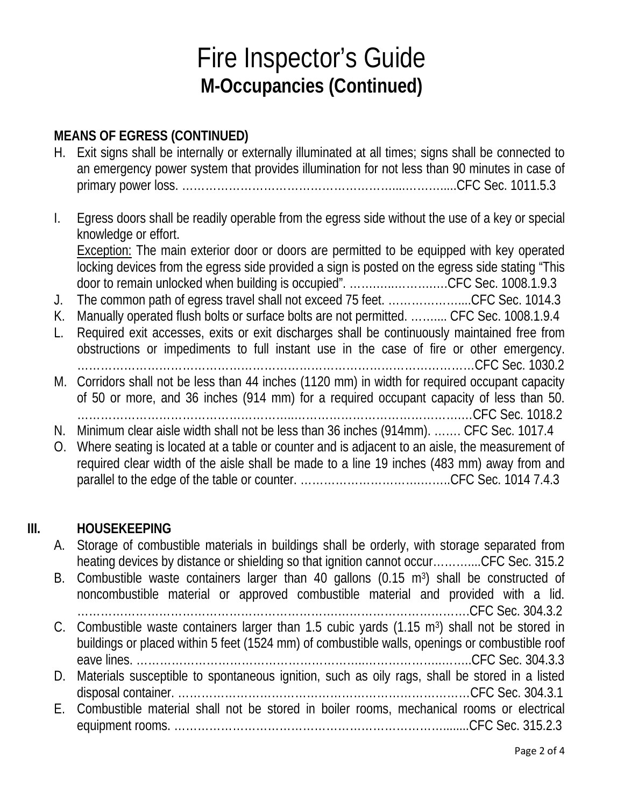# Fire Inspector's Guide **M-Occupancies (Continued)**

### **MEANS OF EGRESS (CONTINUED)**

- H. Exit signs shall be internally or externally illuminated at all times; signs shall be connected to an emergency power system that provides illumination for not less than 90 minutes in case of primary power loss. ………………………………………………....……….....CFC Sec. 1011.5.3
- I. Egress doors shall be readily operable from the egress side without the use of a key or special knowledge or effort.

Exception: The main exterior door or doors are permitted to be equipped with key operated locking devices from the egress side provided a sign is posted on the egress side stating "This door to remain unlocked when building is occupied". …….…..……….….CFC Sec. 1008.1.9.3

- J. The common path of egress travel shall not exceed 75 feet. ………………....CFC Sec. 1014.3
- K. Manually operated flush bolts or surface bolts are not permitted. …….... CFC Sec. 1008.1.9.4
- L. Required exit accesses, exits or exit discharges shall be continuously maintained free from obstructions or impediments to full instant use in the case of fire or other emergency. …………………………………………………………………………………………CFC Sec. 1030.2
- M. Corridors shall not be less than 44 inches (1120 mm) in width for required occupant capacity of 50 or more, and 36 inches (914 mm) for a required occupant capacity of less than 50. ………………………………………………..…………………………………….…CFC Sec. 1018.2
- N. Minimum clear aisle width shall not be less than 36 inches (914mm). ……. CFC Sec. 1017.4
- O. Where seating is located at a table or counter and is adjacent to an aisle, the measurement of required clear width of the aisle shall be made to a line 19 inches (483 mm) away from and parallel to the edge of the table or counter. ………………………….……..CFC Sec. 1014 7.4.3

#### **III. HOUSEKEEPING**

- A. Storage of combustible materials in buildings shall be orderly, with storage separated from heating devices by distance or shielding so that ignition cannot occur…………..CFC Sec. 315.2
- B. Combustible waste containers larger than 40 gallons (0.15 m<sup>3</sup>) shall be constructed of noncombustible material or approved combustible material and provided with a lid. ………………………………………………………….…………………………….CFC Sec. 304.3.2
- C. Combustible waste containers larger than 1.5 cubic yards (1.15 m<sup>3</sup>) shall not be stored in buildings or placed within 5 feet (1524 mm) of combustible walls, openings or combustible roof eave lines. …………………………………………………..………………..……..CFC Sec. 304.3.3
- D. Materials susceptible to spontaneous ignition, such as oily rags, shall be stored in a listed disposal container. …………………………………………………………………CFC Sec. 304.3.1
- E. Combustible material shall not be stored in boiler rooms, mechanical rooms or electrical equipment rooms. ……………………………………………………………........CFC Sec. 315.2.3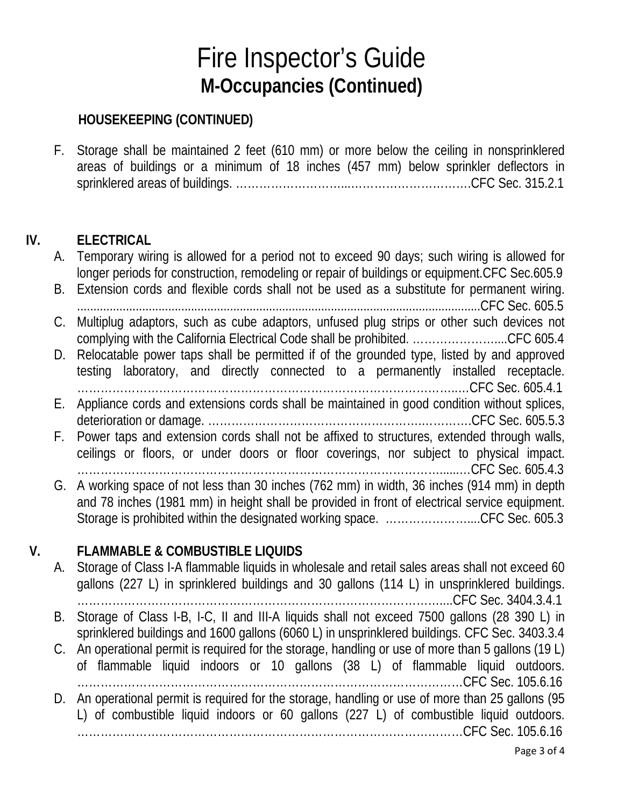## Fire Inspector's Guide **M-Occupancies (Continued)**

#### **HOUSEKEEPING (CONTINUED)**

F. Storage shall be maintained 2 feet (610 mm) or more below the ceiling in nonsprinklered areas of buildings or a minimum of 18 inches (457 mm) below sprinkler deflectors in sprinklered areas of buildings. ………………………...………………………….CFC Sec. 315.2.1

#### **IV. ELECTRICAL**

- A. Temporary wiring is allowed for a period not to exceed 90 days; such wiring is allowed for longer periods for construction, remodeling or repair of buildings or equipment.CFC Sec.605.9
- B. Extension cords and flexible cords shall not be used as a substitute for permanent wiring. ............................................................................................................................CFC Sec. 605.5
- C. Multiplug adaptors, such as cube adaptors, unfused plug strips or other such devices not complying with the California Electrical Code shall be prohibited. …………………....CFC 605.4
- D. Relocatable power taps shall be permitted if of the grounded type, listed by and approved testing laboratory, and directly connected to a permanently installed receptacle. ……………………………………………………………………………………..…CFC Sec. 605.4.1
- E. Appliance cords and extensions cords shall be maintained in good condition without splices, deterioration or damage. ……………………………………………….………….CFC Sec. 605.5.3
- F. Power taps and extension cords shall not be affixed to structures, extended through walls, ceilings or floors, or under doors or floor coverings, nor subject to physical impact.

…………………………………………………………………………………......…CFC Sec. 605.4.3

G. A working space of not less than 30 inches (762 mm) in width, 36 inches (914 mm) in depth and 78 inches (1981 mm) in height shall be provided in front of electrical service equipment. Storage is prohibited within the designated working space. ............................CFC Sec. 605.3

### **V. FLAMMABLE & COMBUSTIBLE LIQUIDS**

A. Storage of Class I-A flammable liquids in wholesale and retail sales areas shall not exceed 60 gallons (227 L) in sprinklered buildings and 30 gallons (114 L) in unsprinklered buildings. …………………………………………………………………………………....CFC Sec. 3404.3.4.1 B. Storage of Class I-B, I-C, II and III-A liquids shall not exceed 7500 gallons (28 390 L) in sprinklered buildings and 1600 gallons (6060 L) in unsprinklered buildings. CFC Sec. 3403.3.4 C. An operational permit is required for the storage, handling or use of more than 5 gallons (19 L) of flammable liquid indoors or 10 gallons (38 L) of flammable liquid outdoors. ………………………………………………………………………………………CFC Sec. 105.6.16 D. An operational permit is required for the storage, handling or use of more than 25 gallons (95 L) of combustible liquid indoors or 60 gallons (227 L) of combustible liquid outdoors. ………………………………………………………………………………………CFC Sec. 105.6.16